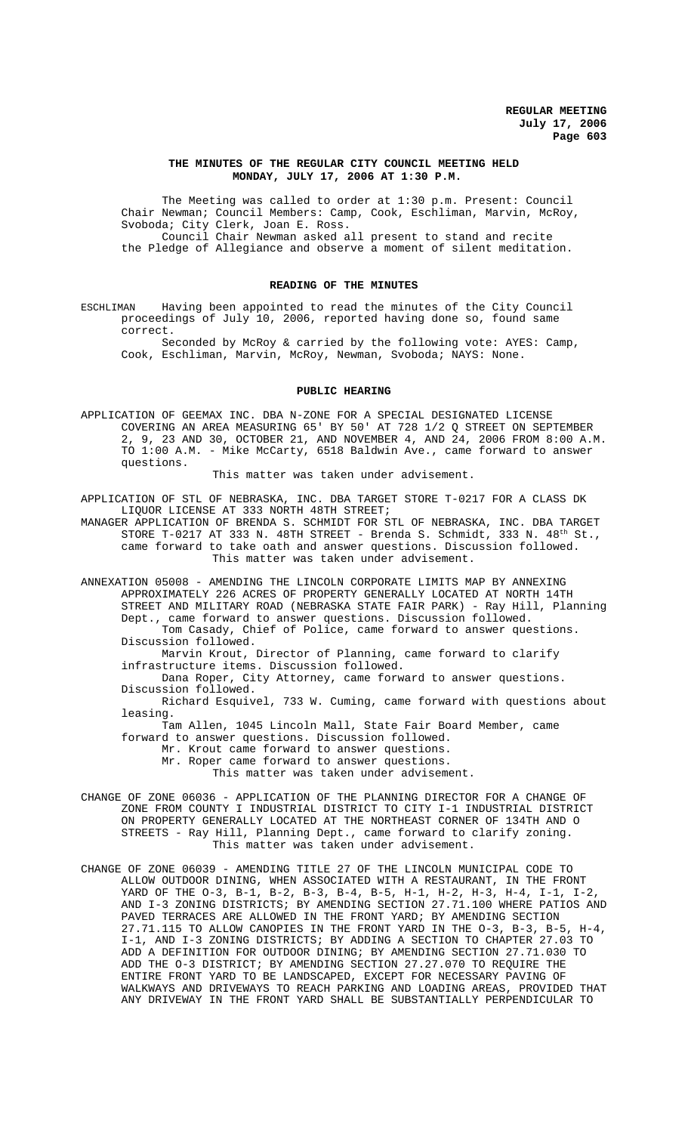## **THE MINUTES OF THE REGULAR CITY COUNCIL MEETING HELD MONDAY, JULY 17, 2006 AT 1:30 P.M.**

The Meeting was called to order at 1:30 p.m. Present: Council Chair Newman; Council Members: Camp, Cook, Eschliman, Marvin, McRoy, Svoboda; City Clerk, Joan E. Ross. Council Chair Newman asked all present to stand and recite the Pledge of Allegiance and observe a moment of silent meditation.

## **READING OF THE MINUTES**

ESCHLIMAN Having been appointed to read the minutes of the City Council proceedings of July 10, 2006, reported having done so, found same correct.

Seconded by McRoy & carried by the following vote: AYES: Camp, Cook, Eschliman, Marvin, McRoy, Newman, Svoboda; NAYS: None.

#### **PUBLIC HEARING**

APPLICATION OF GEEMAX INC. DBA N-ZONE FOR A SPECIAL DESIGNATED LICENSE COVERING AN AREA MEASURING 65' BY 50' AT 728 1/2 Q STREET ON SEPTEMBER 2, 9, 23 AND 30, OCTOBER 21, AND NOVEMBER 4, AND 24, 2006 FROM 8:00 A.M. TO 1:00 A.M. - Mike McCarty, 6518 Baldwin Ave., came forward to answer questions.

This matter was taken under advisement.

APPLICATION OF STL OF NEBRASKA, INC. DBA TARGET STORE T-0217 FOR A CLASS DK LIQUOR LICENSE AT 333 NORTH 48TH STREET;

MANAGER APPLICATION OF BRENDA S. SCHMIDT FOR STL OF NEBRASKA, INC. DBA TARGET STORE T-0217 AT 333 N. 48TH STREET - Brenda S. Schmidt, 333 N. 48 $^{\rm th}$  St., came forward to take oath and answer questions. Discussion followed. This matter was taken under advisement.

ANNEXATION 05008 - AMENDING THE LINCOLN CORPORATE LIMITS MAP BY ANNEXING APPROXIMATELY 226 ACRES OF PROPERTY GENERALLY LOCATED AT NORTH 14TH STREET AND MILITARY ROAD (NEBRASKA STATE FAIR PARK) - Ray Hill, Planning Dept., came forward to answer questions. Discussion followed. Tom Casady, Chief of Police, came forward to answer questions. Discussion followed.

Marvin Krout, Director of Planning, came forward to clarify infrastructure items. Discussion followed.

Dana Roper, City Attorney, came forward to answer questions. Discussion followed.

Richard Esquivel, 733 W. Cuming, came forward with questions about leasing.

Tam Allen, 1045 Lincoln Mall, State Fair Board Member, came forward to answer questions. Discussion followed.

Mr. Krout came forward to answer questions.

Mr. Roper came forward to answer questions.

This matter was taken under advisement.

- CHANGE OF ZONE 06036 APPLICATION OF THE PLANNING DIRECTOR FOR A CHANGE OF ZONE FROM COUNTY I INDUSTRIAL DISTRICT TO CITY I-1 INDUSTRIAL DISTRICT ON PROPERTY GENERALLY LOCATED AT THE NORTHEAST CORNER OF 134TH AND O STREETS - Ray Hill, Planning Dept., came forward to clarify zoning. This matter was taken under advisement.
- CHANGE OF ZONE 06039 AMENDING TITLE 27 OF THE LINCOLN MUNICIPAL CODE TO ALLOW OUTDOOR DINING, WHEN ASSOCIATED WITH A RESTAURANT, IN THE FRONT YARD OF THE O-3, B-1, B-2, B-3, B-4, B-5, H-1, H-2, H-3, H-4, I-1, I-2, AND I-3 ZONING DISTRICTS; BY AMENDING SECTION 27.71.100 WHERE PATIOS AND PAVED TERRACES ARE ALLOWED IN THE FRONT YARD; BY AMENDING SECTION 27.71.115 TO ALLOW CANOPIES IN THE FRONT YARD IN THE O-3, B-3, B-5, H-4, I-1, AND I-3 ZONING DISTRICTS; BY ADDING A SECTION TO CHAPTER 27.03 TO ADD A DEFINITION FOR OUTDOOR DINING; BY AMENDING SECTION 27.71.030 TO ADD THE O-3 DISTRICT; BY AMENDING SECTION 27.27.070 TO REQUIRE THE ENTIRE FRONT YARD TO BE LANDSCAPED, EXCEPT FOR NECESSARY PAVING OF WALKWAYS AND DRIVEWAYS TO REACH PARKING AND LOADING AREAS, PROVIDED THAT ANY DRIVEWAY IN THE FRONT YARD SHALL BE SUBSTANTIALLY PERPENDICULAR TO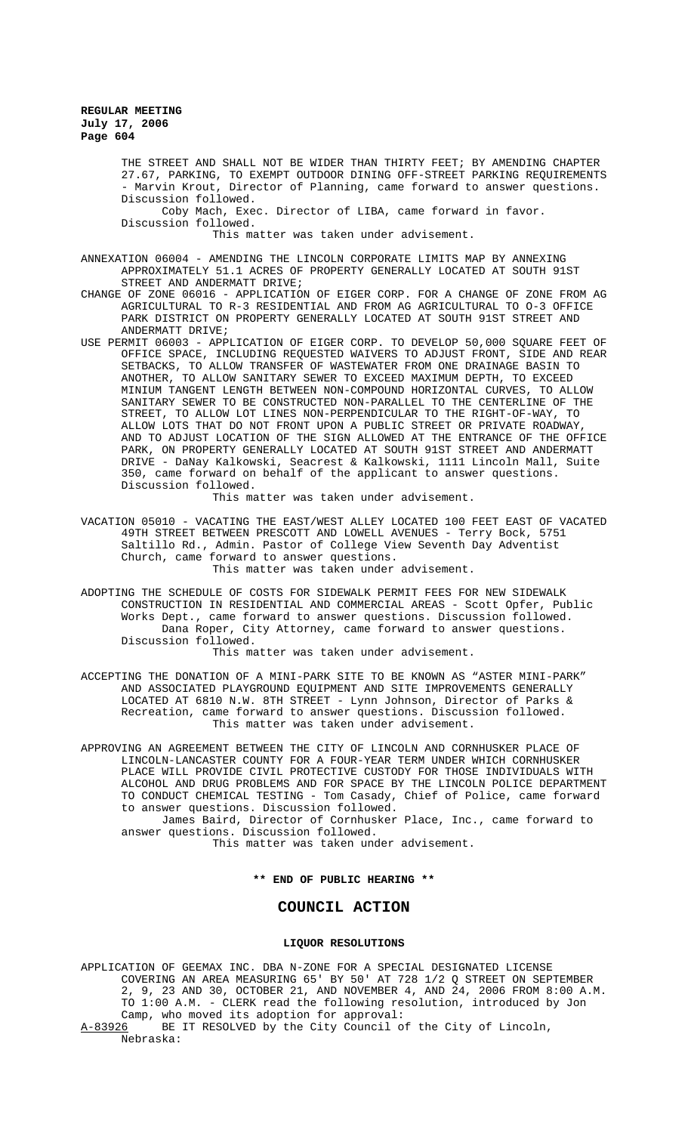> THE STREET AND SHALL NOT BE WIDER THAN THIRTY FEET; BY AMENDING CHAPTER 27.67, PARKING, TO EXEMPT OUTDOOR DINING OFF-STREET PARKING REQUIREMENTS - Marvin Krout, Director of Planning, came forward to answer questions. Discussion followed.

Coby Mach, Exec. Director of LIBA, came forward in favor. Discussion followed.

This matter was taken under advisement.

ANNEXATION 06004 - AMENDING THE LINCOLN CORPORATE LIMITS MAP BY ANNEXING APPROXIMATELY 51.1 ACRES OF PROPERTY GENERALLY LOCATED AT SOUTH 91ST STREET AND ANDERMATT DRIVE;

CHANGE OF ZONE 06016 - APPLICATION OF EIGER CORP. FOR A CHANGE OF ZONE FROM AG AGRICULTURAL TO R-3 RESIDENTIAL AND FROM AG AGRICULTURAL TO O-3 OFFICE PARK DISTRICT ON PROPERTY GENERALLY LOCATED AT SOUTH 91ST STREET AND ANDERMATT DRIVE;

USE PERMIT 06003 - APPLICATION OF EIGER CORP. TO DEVELOP 50,000 SQUARE FEET OF OFFICE SPACE, INCLUDING REQUESTED WAIVERS TO ADJUST FRONT, SIDE AND REAR SETBACKS, TO ALLOW TRANSFER OF WASTEWATER FROM ONE DRAINAGE BASIN TO ANOTHER, TO ALLOW SANITARY SEWER TO EXCEED MAXIMUM DEPTH, TO EXCEED MINIUM TANGENT LENGTH BETWEEN NON-COMPOUND HORIZONTAL CURVES, TO ALLOW SANITARY SEWER TO BE CONSTRUCTED NON-PARALLEL TO THE CENTERLINE OF THE STREET, TO ALLOW LOT LINES NON-PERPENDICULAR TO THE RIGHT-OF-WAY, TO ALLOW LOTS THAT DO NOT FRONT UPON A PUBLIC STREET OR PRIVATE ROADWAY, AND TO ADJUST LOCATION OF THE SIGN ALLOWED AT THE ENTRANCE OF THE OFFICE PARK, ON PROPERTY GENERALLY LOCATED AT SOUTH 91ST STREET AND ANDERMATT DRIVE - DaNay Kalkowski, Seacrest & Kalkowski, 1111 Lincoln Mall, Suite 350, came forward on behalf of the applicant to answer questions. Discussion followed.

This matter was taken under advisement.

- VACATION 05010 VACATING THE EAST/WEST ALLEY LOCATED 100 FEET EAST OF VACATED 49TH STREET BETWEEN PRESCOTT AND LOWELL AVENUES - Terry Bock, 5751 Saltillo Rd., Admin. Pastor of College View Seventh Day Adventist Church, came forward to answer questions. This matter was taken under advisement.
- ADOPTING THE SCHEDULE OF COSTS FOR SIDEWALK PERMIT FEES FOR NEW SIDEWALK CONSTRUCTION IN RESIDENTIAL AND COMMERCIAL AREAS - Scott Opfer, Public Works Dept., came forward to answer questions. Discussion followed. Dana Roper, City Attorney, came forward to answer questions. Discussion followed.

This matter was taken under advisement.

- ACCEPTING THE DONATION OF A MINI-PARK SITE TO BE KNOWN AS "ASTER MINI-PARK" AND ASSOCIATED PLAYGROUND EQUIPMENT AND SITE IMPROVEMENTS GENERALLY LOCATED AT 6810 N.W. 8TH STREET - Lynn Johnson, Director of Parks & Recreation, came forward to answer questions. Discussion followed. This matter was taken under advisement.
- APPROVING AN AGREEMENT BETWEEN THE CITY OF LINCOLN AND CORNHUSKER PLACE OF LINCOLN-LANCASTER COUNTY FOR A FOUR-YEAR TERM UNDER WHICH CORNHUSKER PLACE WILL PROVIDE CIVIL PROTECTIVE CUSTODY FOR THOSE INDIVIDUALS WITH ALCOHOL AND DRUG PROBLEMS AND FOR SPACE BY THE LINCOLN POLICE DEPARTMENT TO CONDUCT CHEMICAL TESTING - Tom Casady, Chief of Police, came forward to answer questions. Discussion followed.

James Baird, Director of Cornhusker Place, Inc., came forward to answer questions. Discussion followed.

This matter was taken under advisement.

## **\*\* END OF PUBLIC HEARING \*\***

# **COUNCIL ACTION**

### **LIQUOR RESOLUTIONS**

APPLICATION OF GEEMAX INC. DBA N-ZONE FOR A SPECIAL DESIGNATED LICENSE COVERING AN AREA MEASURING 65' BY 50' AT 728 1/2 Q STREET ON SEPTEMBER 2, 9, 23 AND 30, OCTOBER 21, AND NOVEMBER 4, AND 24, 2006 FROM 8:00 A.M. TO 1:00 A.M. - CLERK read the following resolution, introduced by Jon Camp, who moved its adoption for approval:<br>A-83926 BE IT RESOLVED by the City Council of BE IT RESOLVED by the City Council of the City of Lincoln, Nebraska: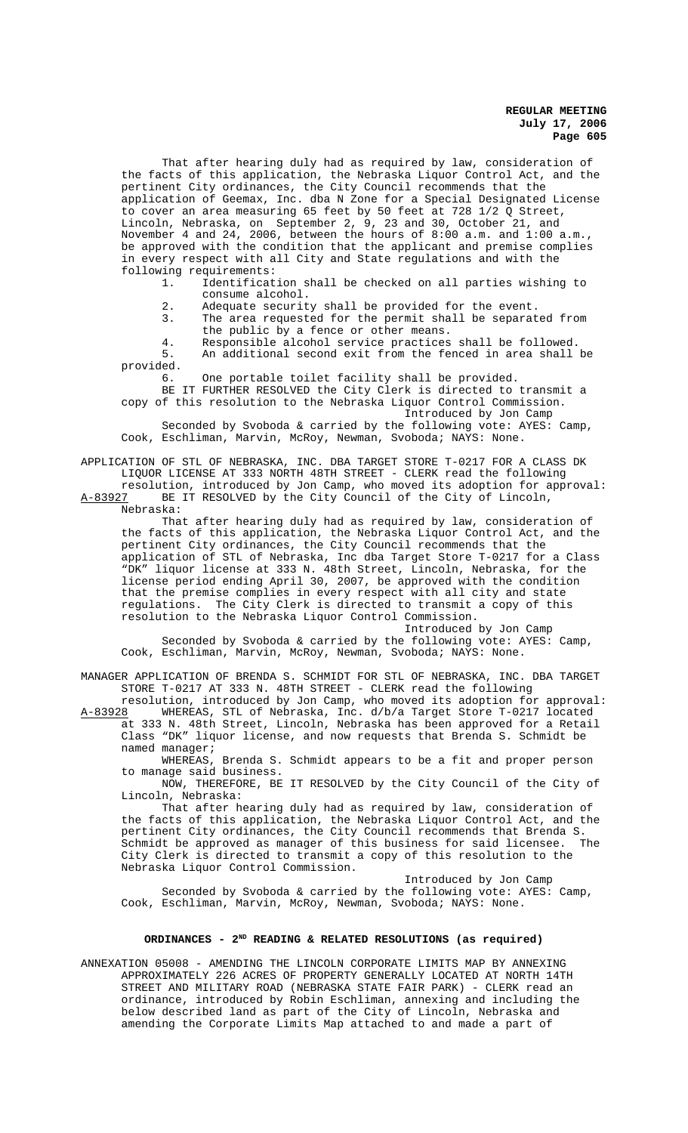That after hearing duly had as required by law, consideration of the facts of this application, the Nebraska Liquor Control Act, and the pertinent City ordinances, the City Council recommends that the application of Geemax, Inc. dba N Zone for a Special Designated License to cover an area measuring 65 feet by 50 feet at 728 1/2 Q Street, Lincoln, Nebraska, on September 2, 9, 23 and 30, October 21, and November 4 and 24, 2006, between the hours of 8:00 a.m. and 1:00 a.m., be approved with the condition that the applicant and premise complies in every respect with all City and State regulations and with the following requirements:

1. Identification shall be checked on all parties wishing to consume alcohol.

- 2. Adequate security shall be provided for the event.
- 3. The area requested for the permit shall be separated from the public by a fence or other means.
- 4. Responsible alcohol service practices shall be followed.

5. An additional second exit from the fenced in area shall be provided.

6. One portable toilet facility shall be provided. BE IT FURTHER RESOLVED the City Clerk is directed to transmit a copy of this resolution to the Nebraska Liquor Control Commission.

Introduced by Jon Camp

Seconded by Svoboda & carried by the following vote: AYES: Camp, Cook, Eschliman, Marvin, McRoy, Newman, Svoboda; NAYS: None.

APPLICATION OF STL OF NEBRASKA, INC. DBA TARGET STORE T-0217 FOR A CLASS DK LIQUOR LICENSE AT 333 NORTH 48TH STREET - CLERK read the following resolution, introduced by Jon Camp, who moved its adoption for approval:

A-83927 BE IT RESOLVED by the City Council of the City of Lincoln, Nebraska:

That after hearing duly had as required by law, consideration of the facts of this application, the Nebraska Liquor Control Act, and the pertinent City ordinances, the City Council recommends that the application of STL of Nebraska, Inc dba Target Store T-0217 for a Class "DK" liquor license at 333 N. 48th Street, Lincoln, Nebraska, for the license period ending April 30, 2007, be approved with the condition that the premise complies in every respect with all city and state regulations. The City Clerk is directed to transmit a copy of this resolution to the Nebraska Liquor Control Commission.

Introduced by Jon Camp Seconded by Svoboda & carried by the following vote: AYES: Camp, Cook, Eschliman, Marvin, McRoy, Newman, Svoboda; NAYS: None.

MANAGER APPLICATION OF BRENDA S. SCHMIDT FOR STL OF NEBRASKA, INC. DBA TARGET STORE T-0217 AT 333 N. 48TH STREET - CLERK read the following

resolution, introduced by Jon Camp, who moved its adoption for approval: A-83928 WHEREAS, STL of Nebraska, Inc. d/b/a Target Store T-0217 located at 333 N. 48th Street, Lincoln, Nebraska has been approved for a Retail Class "DK" liquor license, and now requests that Brenda S. Schmidt be named manager;

WHEREAS, Brenda S. Schmidt appears to be a fit and proper person to manage said business.

NOW, THEREFORE, BE IT RESOLVED by the City Council of the City of Lincoln, Nebraska:

That after hearing duly had as required by law, consideration of the facts of this application, the Nebraska Liquor Control Act, and the pertinent City ordinances, the City Council recommends that Brenda S. Schmidt be approved as manager of this business for said licensee. The City Clerk is directed to transmit a copy of this resolution to the Nebraska Liquor Control Commission.

Introduced by Jon Camp Seconded by Svoboda & carried by the following vote: AYES: Camp, Cook, Eschliman, Marvin, McRoy, Newman, Svoboda; NAYS: None.

# ORDINANCES - 2<sup>ND</sup> READING & RELATED RESOLUTIONS (as required)

ANNEXATION 05008 - AMENDING THE LINCOLN CORPORATE LIMITS MAP BY ANNEXING APPROXIMATELY 226 ACRES OF PROPERTY GENERALLY LOCATED AT NORTH 14TH STREET AND MILITARY ROAD (NEBRASKA STATE FAIR PARK) - CLERK read an ordinance, introduced by Robin Eschliman, annexing and including the below described land as part of the City of Lincoln, Nebraska and amending the Corporate Limits Map attached to and made a part of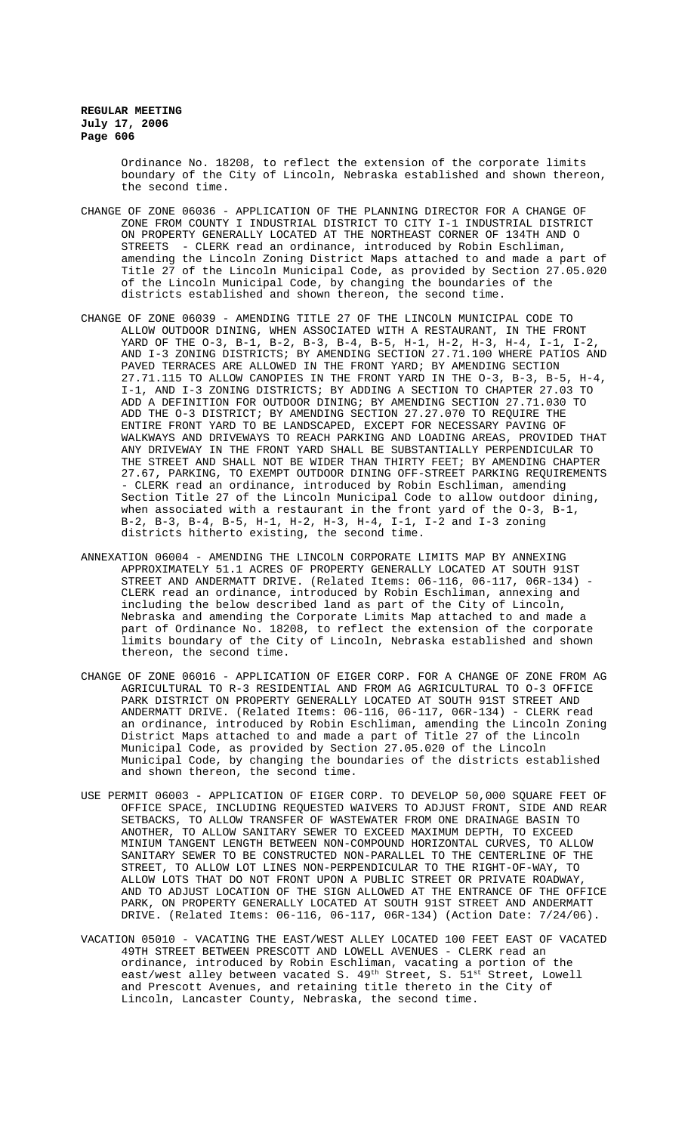> Ordinance No. 18208, to reflect the extension of the corporate limits boundary of the City of Lincoln, Nebraska established and shown thereon, the second time.

- CHANGE OF ZONE 06036 APPLICATION OF THE PLANNING DIRECTOR FOR A CHANGE OF ZONE FROM COUNTY I INDUSTRIAL DISTRICT TO CITY I-1 INDUSTRIAL DISTRICT ON PROPERTY GENERALLY LOCATED AT THE NORTHEAST CORNER OF 134TH AND O STREETS - CLERK read an ordinance, introduced by Robin Eschliman, amending the Lincoln Zoning District Maps attached to and made a part of Title 27 of the Lincoln Municipal Code, as provided by Section 27.05.020 of the Lincoln Municipal Code, by changing the boundaries of the districts established and shown thereon, the second time.
- CHANGE OF ZONE 06039 AMENDING TITLE 27 OF THE LINCOLN MUNICIPAL CODE TO ALLOW OUTDOOR DINING, WHEN ASSOCIATED WITH A RESTAURANT, IN THE FRONT YARD OF THE O-3, B-1, B-2, B-3, B-4, B-5, H-1, H-2, H-3, H-4, I-1, I-2, AND I-3 ZONING DISTRICTS; BY AMENDING SECTION 27.71.100 WHERE PATIOS AND PAVED TERRACES ARE ALLOWED IN THE FRONT YARD; BY AMENDING SECTION 27.71.115 TO ALLOW CANOPIES IN THE FRONT YARD IN THE O-3, B-3, B-5, H-4, I-1, AND I-3 ZONING DISTRICTS; BY ADDING A SECTION TO CHAPTER 27.03 TO ADD A DEFINITION FOR OUTDOOR DINING; BY AMENDING SECTION 27.71.030 TO ADD THE O-3 DISTRICT; BY AMENDING SECTION 27.27.070 TO REQUIRE THE ENTIRE FRONT YARD TO BE LANDSCAPED, EXCEPT FOR NECESSARY PAVING OF WALKWAYS AND DRIVEWAYS TO REACH PARKING AND LOADING AREAS, PROVIDED THAT ANY DRIVEWAY IN THE FRONT YARD SHALL BE SUBSTANTIALLY PERPENDICULAR TO THE STREET AND SHALL NOT BE WIDER THAN THIRTY FEET; BY AMENDING CHAPTER 27.67, PARKING, TO EXEMPT OUTDOOR DINING OFF-STREET PARKING REQUIREMENTS - CLERK read an ordinance, introduced by Robin Eschliman, amending Section Title 27 of the Lincoln Municipal Code to allow outdoor dining, when associated with a restaurant in the front yard of the O-3, B-1, B-2, B-3, B-4, B-5, H-1, H-2, H-3, H-4, I-1, I-2 and I-3 zoning districts hitherto existing, the second time.
- ANNEXATION 06004 AMENDING THE LINCOLN CORPORATE LIMITS MAP BY ANNEXING APPROXIMATELY 51.1 ACRES OF PROPERTY GENERALLY LOCATED AT SOUTH 91ST STREET AND ANDERMATT DRIVE. (Related Items: 06-116, 06-117, 06R-134) CLERK read an ordinance, introduced by Robin Eschliman, annexing and including the below described land as part of the City of Lincoln, Nebraska and amending the Corporate Limits Map attached to and made a part of Ordinance No. 18208, to reflect the extension of the corporate limits boundary of the City of Lincoln, Nebraska established and shown thereon, the second time.
- CHANGE OF ZONE 06016 APPLICATION OF EIGER CORP. FOR A CHANGE OF ZONE FROM AG AGRICULTURAL TO R-3 RESIDENTIAL AND FROM AG AGRICULTURAL TO O-3 OFFICE PARK DISTRICT ON PROPERTY GENERALLY LOCATED AT SOUTH 91ST STREET AND ANDERMATT DRIVE. (Related Items: 06-116, 06-117, 06R-134) - CLERK read an ordinance, introduced by Robin Eschliman, amending the Lincoln Zoning District Maps attached to and made a part of Title 27 of the Lincoln Municipal Code, as provided by Section 27.05.020 of the Lincoln Municipal Code, by changing the boundaries of the districts established and shown thereon, the second time.
- USE PERMIT 06003 APPLICATION OF EIGER CORP. TO DEVELOP 50,000 SQUARE FEET OF OFFICE SPACE, INCLUDING REQUESTED WAIVERS TO ADJUST FRONT, SIDE AND REAR SETBACKS, TO ALLOW TRANSFER OF WASTEWATER FROM ONE DRAINAGE BASIN TO ANOTHER, TO ALLOW SANITARY SEWER TO EXCEED MAXIMUM DEPTH, TO EXCEED MINIUM TANGENT LENGTH BETWEEN NON-COMPOUND HORIZONTAL CURVES, TO ALLOW SANITARY SEWER TO BE CONSTRUCTED NON-PARALLEL TO THE CENTERLINE OF THE STREET, TO ALLOW LOT LINES NON-PERPENDICULAR TO THE RIGHT-OF-WAY, TO ALLOW LOTS THAT DO NOT FRONT UPON A PUBLIC STREET OR PRIVATE ROADWAY, AND TO ADJUST LOCATION OF THE SIGN ALLOWED AT THE ENTRANCE OF THE OFFICE PARK, ON PROPERTY GENERALLY LOCATED AT SOUTH 91ST STREET AND ANDERMATT DRIVE. (Related Items: 06-116, 06-117, 06R-134) (Action Date: 7/24/06).
- VACATION 05010 VACATING THE EAST/WEST ALLEY LOCATED 100 FEET EAST OF VACATED 49TH STREET BETWEEN PRESCOTT AND LOWELL AVENUES - CLERK read an ordinance, introduced by Robin Eschliman, vacating a portion of the east/west alley between vacated S.  $49^{\text{th}}$  Street, S.  $51^{\text{st}}$  Street, Lowell and Prescott Avenues, and retaining title thereto in the City of Lincoln, Lancaster County, Nebraska, the second time.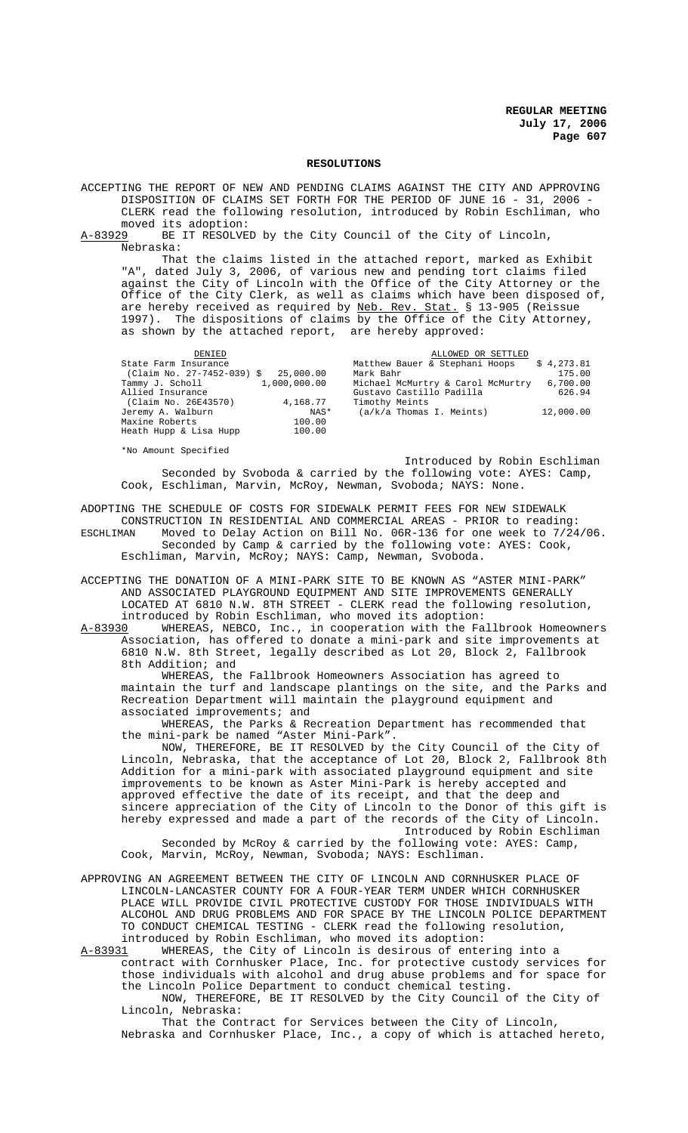#### **RESOLUTIONS**

ACCEPTING THE REPORT OF NEW AND PENDING CLAIMS AGAINST THE CITY AND APPROVING DISPOSITION OF CLAIMS SET FORTH FOR THE PERIOD OF JUNE 16 - 31, 2006 - CLERK read the following resolution, introduced by Robin Eschliman, who

moved its adoption:<br>A-83929 BE IT RESOLVE BE IT RESOLVED by the City Council of the City of Lincoln, Nebraska:

That the claims listed in the attached report, marked as Exhibit "A", dated July 3, 2006, of various new and pending tort claims filed against the City of Lincoln with the Office of the City Attorney or the Office of the City Clerk, as well as claims which have been disposed of, are hereby received as required by <u>Neb. Rev. Stat.</u> § 13-905 (Reissue 1997). The dispositions of claims by the Office of the City Attorney, as shown by the attached report, are hereby approved:

| DENIED                     |              | ALLOWED OR SETTLED                |            |
|----------------------------|--------------|-----------------------------------|------------|
| State Farm Insurance       |              | Matthew Bauer & Stephani Hoops    | \$4,273.81 |
| (Claim No. 27-7452-039) \$ | 25,000.00    | Mark Bahr                         | 175.00     |
| Tammy J. Scholl            | 1,000,000.00 | Michael McMurtry & Carol McMurtry | 6,700.00   |
| Allied Insurance           |              | Gustavo Castillo Padilla          | 626.94     |
| (Claim No. 26E43570)       | 4,168.77     | Timothy Meints                    |            |
| Jeremy A. Walburn          | NAS*         | (a/k/a Thomas I. Meints)          | 12,000.00  |
| Maxine Roberts             | 100.00       |                                   |            |
| Heath Hupp & Lisa Hupp     | 100.00       |                                   |            |
|                            |              |                                   |            |

\*No Amount Specified

Introduced by Robin Eschliman Seconded by Svoboda & carried by the following vote: AYES: Camp, Cook, Eschliman, Marvin, McRoy, Newman, Svoboda; NAYS: None.

ADOPTING THE SCHEDULE OF COSTS FOR SIDEWALK PERMIT FEES FOR NEW SIDEWALK CONSTRUCTION IN RESIDENTIAL AND COMMERCIAL AREAS - PRIOR to reading:<br>ESCHLIMAN Moved to Delay Action on Bill No. 06R-136 for one week to 7/24 Moved to Delay Action on Bill No. 06R-136 for one week to  $7/24/06$ . Seconded by Camp & carried by the following vote: AYES: Cook, Eschliman, Marvin, McRoy; NAYS: Camp, Newman, Svoboda.

ACCEPTING THE DONATION OF A MINI-PARK SITE TO BE KNOWN AS "ASTER MINI-PARK" AND ASSOCIATED PLAYGROUND EQUIPMENT AND SITE IMPROVEMENTS GENERALLY LOCATED AT 6810 N.W. 8TH STREET - CLERK read the following resolution, introduced by Robin Eschliman, who moved its adoption:

A-83930 WHEREAS, NEBCO, Inc., in cooperation with the Fallbrook Homeowners Association, has offered to donate a mini-park and site improvements at 6810 N.W. 8th Street, legally described as Lot 20, Block 2, Fallbrook 8th Addition; and

WHEREAS, the Fallbrook Homeowners Association has agreed to maintain the turf and landscape plantings on the site, and the Parks and Recreation Department will maintain the playground equipment and associated improvements; and

WHEREAS, the Parks & Recreation Department has recommended that the mini-park be named "Aster Mini-Park".

NOW, THEREFORE, BE IT RESOLVED by the City Council of the City of Lincoln, Nebraska, that the acceptance of Lot 20, Block 2, Fallbrook 8th Addition for a mini-park with associated playground equipment and site improvements to be known as Aster Mini-Park is hereby accepted and approved effective the date of its receipt, and that the deep and sincere appreciation of the City of Lincoln to the Donor of this gift is hereby expressed and made a part of the records of the City of Lincoln. Introduced by Robin Eschliman

Seconded by McRoy & carried by the following vote: AYES: Camp, Cook, Marvin, McRoy, Newman, Svoboda; NAYS: Eschliman.

APPROVING AN AGREEMENT BETWEEN THE CITY OF LINCOLN AND CORNHUSKER PLACE OF LINCOLN-LANCASTER COUNTY FOR A FOUR-YEAR TERM UNDER WHICH CORNHUSKER PLACE WILL PROVIDE CIVIL PROTECTIVE CUSTODY FOR THOSE INDIVIDUALS WITH ALCOHOL AND DRUG PROBLEMS AND FOR SPACE BY THE LINCOLN POLICE DEPARTMENT TO CONDUCT CHEMICAL TESTING - CLERK read the following resolution, introduced by Robin Eschliman, who moved its adoption:<br>A-83931 WHEREAS, the City of Lincoln is desirous of ente

WHEREAS, the City of Lincoln is desirous of entering into a contract with Cornhusker Place, Inc. for protective custody services for those individuals with alcohol and drug abuse problems and for space for the Lincoln Police Department to conduct chemical testing.

 NOW, THEREFORE, BE IT RESOLVED by the City Council of the City of Lincoln, Nebraska:

That the Contract for Services between the City of Lincoln, Nebraska and Cornhusker Place, Inc., a copy of which is attached hereto,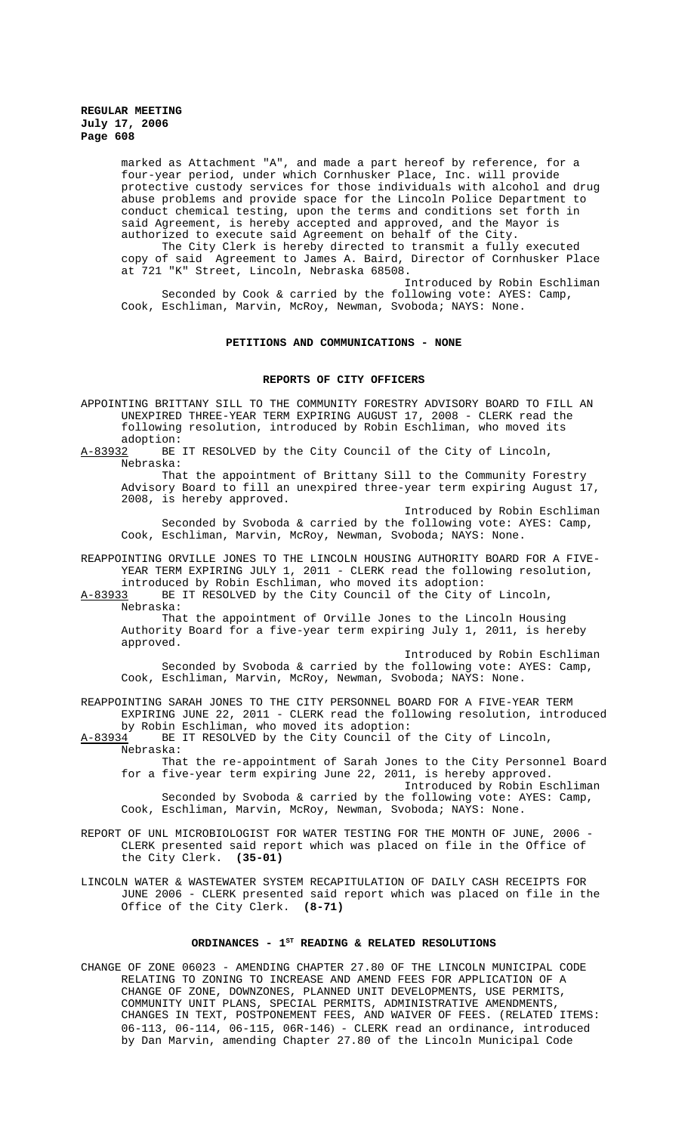marked as Attachment "A", and made a part hereof by reference, for a four-year period, under which Cornhusker Place, Inc. will provide protective custody services for those individuals with alcohol and drug abuse problems and provide space for the Lincoln Police Department to conduct chemical testing, upon the terms and conditions set forth in said Agreement, is hereby accepted and approved, and the Mayor is authorized to execute said Agreement on behalf of the City.

The City Clerk is hereby directed to transmit a fully executed copy of said Agreement to James A. Baird, Director of Cornhusker Place at 721 "K" Street, Lincoln, Nebraska 68508.

Introduced by Robin Eschliman Seconded by Cook & carried by the following vote: AYES: Camp, Cook, Eschliman, Marvin, McRoy, Newman, Svoboda; NAYS: None.

## **PETITIONS AND COMMUNICATIONS - NONE**

## **REPORTS OF CITY OFFICERS**

APPOINTING BRITTANY SILL TO THE COMMUNITY FORESTRY ADVISORY BOARD TO FILL AN UNEXPIRED THREE-YEAR TERM EXPIRING AUGUST 17, 2008 - CLERK read the following resolution, introduced by Robin Eschliman, who moved its adoption:<br><u>A-83932</u> BE

BE IT RESOLVED by the City Council of the City of Lincoln, Nebraska:

That the appointment of Brittany Sill to the Community Forestry Advisory Board to fill an unexpired three-year term expiring August 17, 2008, is hereby approved.

Introduced by Robin Eschliman Seconded by Svoboda & carried by the following vote: AYES: Camp, Cook, Eschliman, Marvin, McRoy, Newman, Svoboda; NAYS: None.

REAPPOINTING ORVILLE JONES TO THE LINCOLN HOUSING AUTHORITY BOARD FOR A FIVE-YEAR TERM EXPIRING JULY 1, 2011 - CLERK read the following resolution, introduced by Robin Eschliman, who moved its adoption:

A-83933 BE IT RESOLVED by the City Council of the City of Lincoln, Nebraska:

That the appointment of Orville Jones to the Lincoln Housing Authority Board for a five-year term expiring July 1, 2011, is hereby approved.

Introduced by Robin Eschliman Seconded by Svoboda & carried by the following vote: AYES: Camp, Cook, Eschliman, Marvin, McRoy, Newman, Svoboda; NAYS: None.

REAPPOINTING SARAH JONES TO THE CITY PERSONNEL BOARD FOR A FIVE-YEAR TERM EXPIRING JUNE 22, 2011 - CLERK read the following resolution, introduced by Robin Eschliman, who moved its adoption:

A-83934 BE IT RESOLVED by the City Council of the City of Lincoln, Nebraska:

That the re-appointment of Sarah Jones to the City Personnel Board for a five-year term expiring June 22, 2011, is hereby approved. Introduced by Robin Eschliman

Seconded by Svoboda & carried by the following vote: AYES: Camp, Cook, Eschliman, Marvin, McRoy, Newman, Svoboda; NAYS: None.

- REPORT OF UNL MICROBIOLOGIST FOR WATER TESTING FOR THE MONTH OF JUNE, 2006 -CLERK presented said report which was placed on file in the Office of the City Clerk. **(35-01)**
- LINCOLN WATER & WASTEWATER SYSTEM RECAPITULATION OF DAILY CASH RECEIPTS FOR JUNE 2006 - CLERK presented said report which was placed on file in the Office of the City Clerk. **(8-71)**

# ORDINANCES - 1<sup>st</sup> READING & RELATED RESOLUTIONS

CHANGE OF ZONE 06023 - AMENDING CHAPTER 27.80 OF THE LINCOLN MUNICIPAL CODE RELATING TO ZONING TO INCREASE AND AMEND FEES FOR APPLICATION OF A CHANGE OF ZONE, DOWNZONES, PLANNED UNIT DEVELOPMENTS, USE PERMITS, COMMUNITY UNIT PLANS, SPECIAL PERMITS, ADMINISTRATIVE AMENDMENTS, CHANGES IN TEXT, POSTPONEMENT FEES, AND WAIVER OF FEES. (RELATED ITEMS: 06-113, 06-114, 06-115, 06R-146) - CLERK read an ordinance, introduced by Dan Marvin, amending Chapter 27.80 of the Lincoln Municipal Code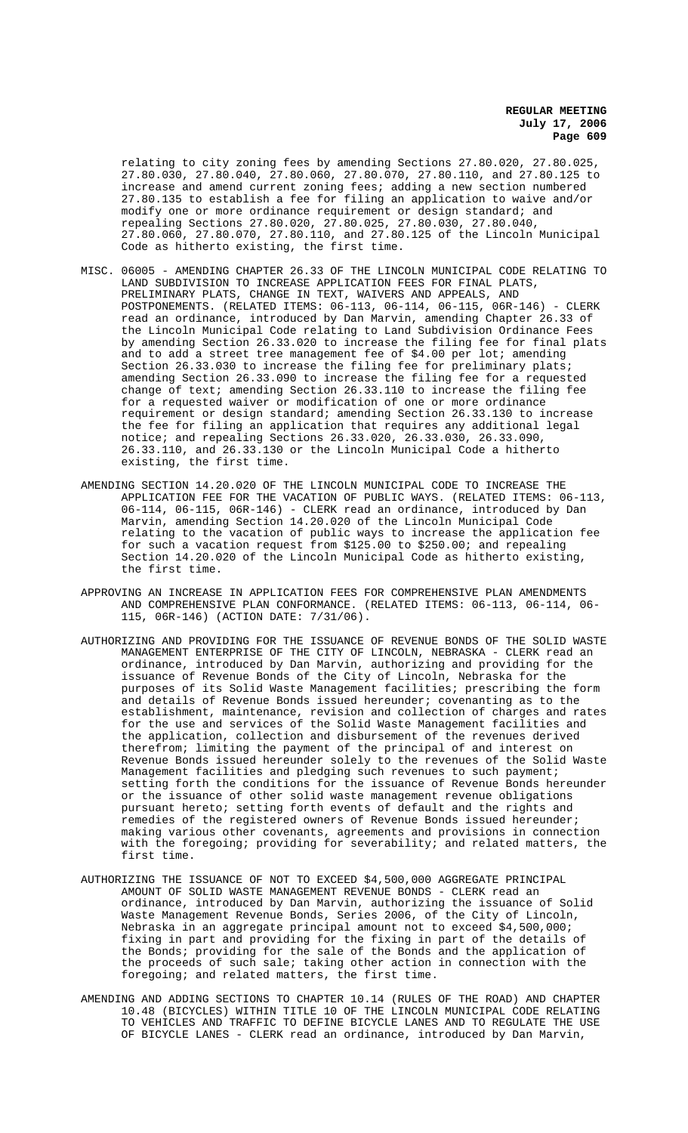relating to city zoning fees by amending Sections 27.80.020, 27.80.025, 27.80.030, 27.80.040, 27.80.060, 27.80.070, 27.80.110, and 27.80.125 to increase and amend current zoning fees; adding a new section numbered 27.80.135 to establish a fee for filing an application to waive and/or modify one or more ordinance requirement or design standard; and repealing Sections 27.80.020, 27.80.025, 27.80.030, 27.80.040, 27.80.060, 27.80.070, 27.80.110, and 27.80.125 of the Lincoln Municipal Code as hitherto existing, the first time.

- MISC. 06005 AMENDING CHAPTER 26.33 OF THE LINCOLN MUNICIPAL CODE RELATING TO LAND SUBDIVISION TO INCREASE APPLICATION FEES FOR FINAL PLATS, PRELIMINARY PLATS, CHANGE IN TEXT, WAIVERS AND APPEALS, AND POSTPONEMENTS. (RELATED ITEMS: 06-113, 06-114, 06-115, 06R-146) - CLERK read an ordinance, introduced by Dan Marvin, amending Chapter 26.33 of the Lincoln Municipal Code relating to Land Subdivision Ordinance Fees by amending Section 26.33.020 to increase the filing fee for final plats and to add a street tree management fee of \$4.00 per lot; amending Section 26.33.030 to increase the filing fee for preliminary plats; amending Section 26.33.090 to increase the filing fee for a requested change of text; amending Section 26.33.110 to increase the filing fee for a requested waiver or modification of one or more ordinance requirement or design standard; amending Section 26.33.130 to increase the fee for filing an application that requires any additional legal notice; and repealing Sections 26.33.020, 26.33.030, 26.33.090, 26.33.110, and 26.33.130 or the Lincoln Municipal Code a hitherto existing, the first time.
- AMENDING SECTION 14.20.020 OF THE LINCOLN MUNICIPAL CODE TO INCREASE THE APPLICATION FEE FOR THE VACATION OF PUBLIC WAYS. (RELATED ITEMS: 06-113, 06-114, 06-115, 06R-146) - CLERK read an ordinance, introduced by Dan Marvin, amending Section 14.20.020 of the Lincoln Municipal Code relating to the vacation of public ways to increase the application fee for such a vacation request from \$125.00 to \$250.00; and repealing Section 14.20.020 of the Lincoln Municipal Code as hitherto existing, the first time.
- APPROVING AN INCREASE IN APPLICATION FEES FOR COMPREHENSIVE PLAN AMENDMENTS AND COMPREHENSIVE PLAN CONFORMANCE. (RELATED ITEMS: 06-113, 06-114, 06- 115, 06R-146) (ACTION DATE: 7/31/06).
- AUTHORIZING AND PROVIDING FOR THE ISSUANCE OF REVENUE BONDS OF THE SOLID WASTE MANAGEMENT ENTERPRISE OF THE CITY OF LINCOLN, NEBRASKA - CLERK read an ordinance, introduced by Dan Marvin, authorizing and providing for the issuance of Revenue Bonds of the City of Lincoln, Nebraska for the purposes of its Solid Waste Management facilities; prescribing the form and details of Revenue Bonds issued hereunder; covenanting as to the establishment, maintenance, revision and collection of charges and rates for the use and services of the Solid Waste Management facilities and the application, collection and disbursement of the revenues derived therefrom; limiting the payment of the principal of and interest on Revenue Bonds issued hereunder solely to the revenues of the Solid Waste Management facilities and pledging such revenues to such payment; setting forth the conditions for the issuance of Revenue Bonds hereunder or the issuance of other solid waste management revenue obligations pursuant hereto; setting forth events of default and the rights and remedies of the registered owners of Revenue Bonds issued hereunder; making various other covenants, agreements and provisions in connection with the foregoing; providing for severability; and related matters, the first time.
- AUTHORIZING THE ISSUANCE OF NOT TO EXCEED \$4,500,000 AGGREGATE PRINCIPAL AMOUNT OF SOLID WASTE MANAGEMENT REVENUE BONDS - CLERK read an ordinance, introduced by Dan Marvin, authorizing the issuance of Solid Waste Management Revenue Bonds, Series 2006, of the City of Lincoln, Nebraska in an aggregate principal amount not to exceed \$4,500,000; fixing in part and providing for the fixing in part of the details of the Bonds; providing for the sale of the Bonds and the application of the proceeds of such sale; taking other action in connection with the foregoing; and related matters, the first time.
- AMENDING AND ADDING SECTIONS TO CHAPTER 10.14 (RULES OF THE ROAD) AND CHAPTER 10.48 (BICYCLES) WITHIN TITLE 10 OF THE LINCOLN MUNICIPAL CODE RELATING TO VEHICLES AND TRAFFIC TO DEFINE BICYCLE LANES AND TO REGULATE THE USE OF BICYCLE LANES - CLERK read an ordinance, introduced by Dan Marvin,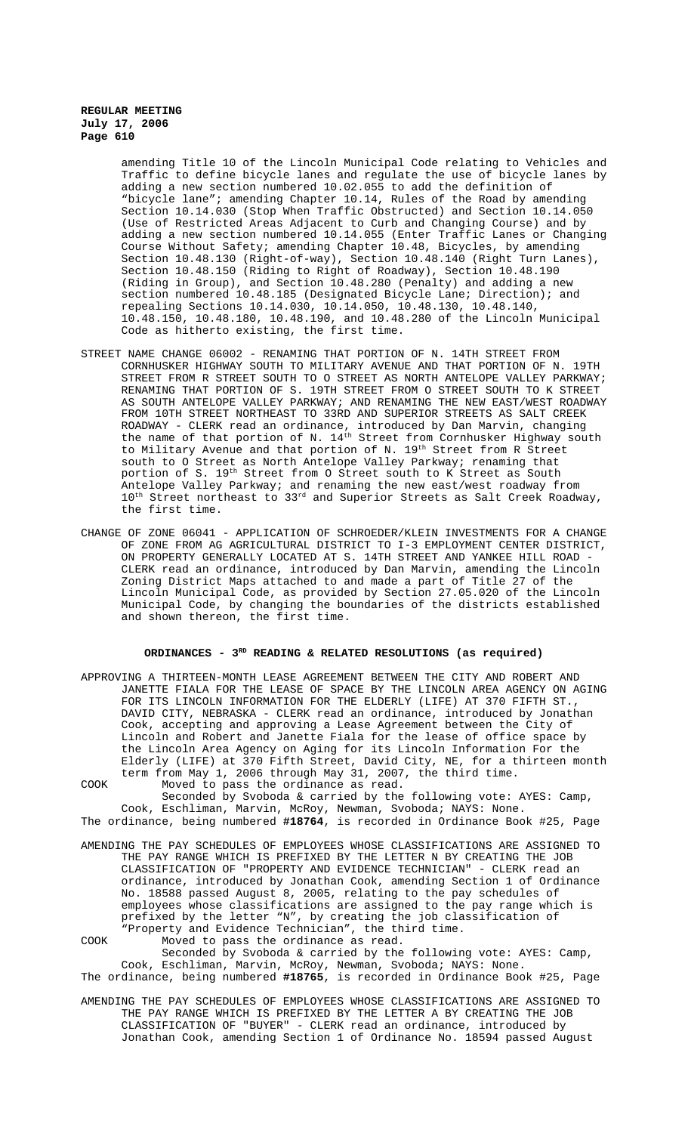amending Title 10 of the Lincoln Municipal Code relating to Vehicles and Traffic to define bicycle lanes and regulate the use of bicycle lanes by adding a new section numbered 10.02.055 to add the definition of "bicycle lane"; amending Chapter 10.14, Rules of the Road by amending Section 10.14.030 (Stop When Traffic Obstructed) and Section 10.14.050 (Use of Restricted Areas Adjacent to Curb and Changing Course) and by adding a new section numbered 10.14.055 (Enter Traffic Lanes or Changing Course Without Safety; amending Chapter 10.48, Bicycles, by amending Section 10.48.130 (Right-of-way), Section 10.48.140 (Right Turn Lanes), Section 10.48.150 (Riding to Right of Roadway), Section 10.48.190 (Riding in Group), and Section 10.48.280 (Penalty) and adding a new section numbered 10.48.185 (Designated Bicycle Lane; Direction); and repealing Sections 10.14.030, 10.14.050, 10.48.130, 10.48.140, 10.48.150, 10.48.180, 10.48.190, and 10.48.280 of the Lincoln Municipal Code as hitherto existing, the first time.

- STREET NAME CHANGE 06002 RENAMING THAT PORTION OF N. 14TH STREET FROM CORNHUSKER HIGHWAY SOUTH TO MILITARY AVENUE AND THAT PORTION OF N. 19TH STREET FROM R STREET SOUTH TO O STREET AS NORTH ANTELOPE VALLEY PARKWAY; RENAMING THAT PORTION OF S. 19TH STREET FROM O STREET SOUTH TO K STREET AS SOUTH ANTELOPE VALLEY PARKWAY; AND RENAMING THE NEW EAST/WEST ROADWAY FROM 10TH STREET NORTHEAST TO 33RD AND SUPERIOR STREETS AS SALT CREEK ROADWAY - CLERK read an ordinance, introduced by Dan Marvin, changing the name of that portion of N.  $14^{\text{th}}$  Street from Cornhusker Highway south to Military Avenue and that portion of N. 19<sup>th</sup> Street from R Street south to O Street as North Antelope Valley Parkway; renaming that portion of S. 19th Street from O Street south to K Street as South Antelope Valley Parkway; and renaming the new east/west roadway from  $10^{\text{th}}$  Street northeast to 33<sup>rd</sup> and Superior Streets as Salt Creek Roadway, the first time.
- CHANGE OF ZONE 06041 APPLICATION OF SCHROEDER/KLEIN INVESTMENTS FOR A CHANGE OF ZONE FROM AG AGRICULTURAL DISTRICT TO I-3 EMPLOYMENT CENTER DISTRICT, ON PROPERTY GENERALLY LOCATED AT S. 14TH STREET AND YANKEE HILL ROAD - CLERK read an ordinance, introduced by Dan Marvin, amending the Lincoln Zoning District Maps attached to and made a part of Title 27 of the Lincoln Municipal Code, as provided by Section 27.05.020 of the Lincoln Municipal Code, by changing the boundaries of the districts established and shown thereon, the first time.

## **ORDINANCES - 3RD READING & RELATED RESOLUTIONS (as required)**

APPROVING A THIRTEEN-MONTH LEASE AGREEMENT BETWEEN THE CITY AND ROBERT AND JANETTE FIALA FOR THE LEASE OF SPACE BY THE LINCOLN AREA AGENCY ON AGING FOR ITS LINCOLN INFORMATION FOR THE ELDERLY (LIFE) AT 370 FIFTH ST. DAVID CITY, NEBRASKA - CLERK read an ordinance, introduced by Jonathan Cook, accepting and approving a Lease Agreement between the City of Lincoln and Robert and Janette Fiala for the lease of office space by the Lincoln Area Agency on Aging for its Lincoln Information For the Elderly (LIFE) at 370 Fifth Street, David City, NE, for a thirteen month term from May 1, 2006 through May 31, 2007, the third time. COOK Moved to pass the ordinance as read.

Seconded by Svoboda & carried by the following vote: AYES: Camp, Cook, Eschliman, Marvin, McRoy, Newman, Svoboda; NAYS: None. The ordinance, being numbered **#18764**, is recorded in Ordinance Book #25, Page

- AMENDING THE PAY SCHEDULES OF EMPLOYEES WHOSE CLASSIFICATIONS ARE ASSIGNED TO THE PAY RANGE WHICH IS PREFIXED BY THE LETTER N BY CREATING THE JOB CLASSIFICATION OF "PROPERTY AND EVIDENCE TECHNICIAN" - CLERK read an ordinance, introduced by Jonathan Cook, amending Section 1 of Ordinance No. 18588 passed August 8, 2005, relating to the pay schedules of employees whose classifications are assigned to the pay range which is prefixed by the letter "N", by creating the job classification of "Property and Evidence Technician", the third time.
- COOK Moved to pass the ordinance as read.

Seconded by Svoboda & carried by the following vote: AYES: Camp, Cook, Eschliman, Marvin, McRoy, Newman, Svoboda; NAYS: None. The ordinance, being numbered **#18765**, is recorded in Ordinance Book #25, Page

AMENDING THE PAY SCHEDULES OF EMPLOYEES WHOSE CLASSIFICATIONS ARE ASSIGNED TO THE PAY RANGE WHICH IS PREFIXED BY THE LETTER A BY CREATING THE JOB CLASSIFICATION OF "BUYER" - CLERK read an ordinance, introduced by Jonathan Cook, amending Section 1 of Ordinance No. 18594 passed August